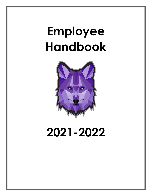# **Employee Handbook**



# **2021-2022**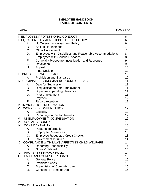#### **EMPLOYEE HANDBOOK TABLE OF CONTENTS**

| <b>TOPIC</b>                 |                                                           |                |
|------------------------------|-----------------------------------------------------------|----------------|
|                              | I. EMPLOYEE PROFESSIONAL CONDUCT                          | 6              |
|                              | II. EQUAL EMPLOYMENT OPPORTUNITY POLICY                   | 6              |
| А.                           | No Tolerance Harassment Policy                            | 6              |
| В.                           | <b>Sexual Harassment</b>                                  | $\overline{7}$ |
| C.                           | <b>Other Harassment</b>                                   | 7              |
| D.                           | Employees with Disabilities and Reasonable Accommodations | 8              |
| Ε.                           | <b>Employees with Serious Diseases</b>                    | 8              |
| F.                           | <b>Complaint Procedure, Investigation and Response</b>    | 9              |
| G.                           | Retaliation                                               | 9              |
| Η.                           | Appeal                                                    | 10             |
|                              | <b>Final Decision</b>                                     | 10             |
|                              | <b>III. DRUG FREE WORKPLACE</b>                           | 10             |
| А.                           | <b>Prohibition and Standards</b>                          | 10             |
|                              | IV. CRIMINAL RECORDS/BACKGROUND CHECKS                    | 11             |
| А.                           | Date for Submission                                       | 11             |
| В.                           | <b>Disqualification from Employment</b>                   | 11             |
| C.                           | Supervision pending clearance                             | 11             |
| D.                           | Prior employment                                          | 11             |
| Ε.                           | Payment                                                   | 12             |
| F.                           | Record retention                                          | 12             |
| V. IMMIGRATION INFORMATION   |                                                           | 12             |
| VI. WORKERS COMPENSATION     |                                                           | 12             |
| А.                           | Eligibility                                               | 12             |
| В.                           | Reporting on the Job Injuries                             | 12             |
|                              | VII. UNEMPLOYMENT COMPENSATION                            | 12             |
| <b>VIII. SOCIAL SECURITY</b> |                                                           | 12             |
| IX.                          | <b>CONFIDENTIALITY</b>                                    | 13             |
| А.                           | <b>Personal Information</b>                               | 13             |
| В.                           | <b>Employee References</b>                                | 13             |
| C.                           | <b>Employee Requested Credit Checks</b>                   | 13             |
| D.                           | Government Inquiries                                      | 14             |
| X.                           | COMPLIANCE WITH LAWS AFFECTING CHILD WELFARE              | 14             |
| А.                           | <b>Reporting Responsibility</b>                           | 14             |
| <b>B.</b>                    | "Abuse" defined                                           | 14             |
| XI.                          | PROPERTY PRIVACY POLICY                                   | 14             |
|                              | XII. EMAIL AND COMPUTER USAGE                             | 15             |
| А.                           | <b>General Policy</b>                                     | 15             |
| В.                           | <b>Prohibited Uses</b>                                    | 15             |
| C.                           | <b>Supervision of Computer Use</b>                        | 15             |
| D.                           | <b>Consent to Terms of Use</b>                            | 16             |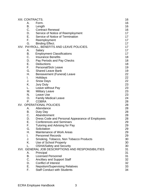| XIII. CONTRACTS. |                                                      | 16 |
|------------------|------------------------------------------------------|----|
| А.               | Form.                                                | 16 |
| В.               | Length                                               | 16 |
| C.               | <b>Contract Renewal</b>                              | 16 |
| D.               | Service of Notice of Reemployment                    | 17 |
| Ε.               | Service of Notice of Termination                     | 17 |
| F.               | Reemployment                                         | 17 |
| G.               | <b>Binding Effect.</b>                               | 17 |
|                  | XIV. PAYROLL, BENEFITS AND LEAVE POLICIES.           | 17 |
| А.               | Salary                                               | 17 |
| В.               | <b>Employment Classifications</b>                    | 17 |
| C.               | <b>Insurance Benefits</b>                            | 18 |
| D.               | Pay Periods and Pay Checks                           | 18 |
| Ε.               | <b>Deductions</b>                                    | 18 |
| F.               | <b>Personal/Sick Leave</b>                           | 19 |
| G.               | <b>Shared Leave Bank</b>                             | 19 |
| Η.               | Bereavement (Funeral) Leave                          | 22 |
| I.               | Holidays                                             | 22 |
| J.               | <b>Snow Days</b>                                     | 22 |
| Κ.               | Jury Duty                                            | 23 |
| L.               | Leave without Pay                                    | 23 |
| М.               | <b>Military Leave</b>                                | 23 |
| N.               | Leave Use                                            | 23 |
| O.               | <b>Family Medical Leave</b>                          | 24 |
| P.               | <b>COBRA</b>                                         | 28 |
|                  | XV. OPERATIONAL POLICIES                             | 28 |
| А.               | Attendance                                           | 28 |
| В.               | Duty Day                                             | 28 |
| C.               | Abandonment                                          | 28 |
| D.               | Dress Code and Personal Appearance of Employees      | 28 |
| Ε.               | <b>Conferences and Seminars</b>                      | 29 |
| F.               | Tutoring and Advising for Pay                        | 29 |
| G.               | Solicitation                                         | 29 |
| Н.               | <b>Maintenance of Work Areas</b>                     | 29 |
| I.               | <b>Personnel Records</b>                             | 29 |
| J.               | Smoking, Tobacco, Non Tobacco Products               | 30 |
| Κ.               | Use of School Property                               | 30 |
| L.               | <b>OSHA/Safety and Security</b>                      | 30 |
| XVI.             | <b>GENERAL JOB DESCRIPTIONS AND RESPONSIBILITIES</b> | 31 |
| А.               | Principal                                            | 31 |
| В.               | <b>Licensed Personnel</b>                            | 31 |
| C.               | Ancillary and Support Staff                          | 32 |
| D.               | <b>Conflict of Interest</b>                          | 32 |
| Ε.               | <b>Nepotism/Supervising Relatives</b>                | 33 |
| F.               | <b>Staff Conduct with Students</b>                   | 34 |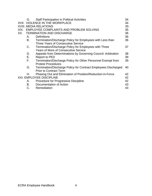|      | G.                              | <b>Staff Participation in Political Activities</b>             | 34 |
|------|---------------------------------|----------------------------------------------------------------|----|
|      |                                 | <b>XVII. VIOLENCE IN THE WORKPLACE</b>                         | 34 |
|      |                                 | <b>XVIII. MEDIA RELATIONS</b>                                  | 35 |
| XIX. |                                 | EMPLOYEE COMPLAINTS AND PROBLEM SOLVING                        | 35 |
|      |                                 | XX. TERMINATION AND DISCHARGE                                  | 36 |
|      | А.                              | <b>Definitions</b>                                             | 36 |
|      | В.                              | Termination/Discharge Policy for Employees with Less than      | 36 |
|      |                                 | <b>Three Years of Consecutive Service</b>                      |    |
|      | C.                              | Termination/Discharge Policy for Employees with Three          | 37 |
|      |                                 | <b>Years of More of Consecutive Service</b>                    |    |
|      | D.                              | Appeals from Determinations by Governing Council: Arbitration  | 38 |
|      | Е.                              | <b>Report to PED</b>                                           | 39 |
|      | F.                              | Termination/Discharge Policy for Other Personnel Exempt from   | 39 |
|      |                                 | <b>Protest Procedures</b>                                      |    |
|      | G.                              | Termination/Discharge Policy for Contract Employees Discharged | 40 |
|      |                                 | <b>Prior to Contract Term</b>                                  |    |
|      | Н.                              | Phasing Out and Elimination of Position/Reduction-in-Force     | 42 |
|      | <b>XXI. EMPLOYEE DISCIPLINE</b> |                                                                |    |
|      | А.                              | Procedure for Progressive Discipline                           | 42 |
|      | B.                              | Documentation of Action                                        | 43 |
|      | C.                              | Remediation                                                    | 43 |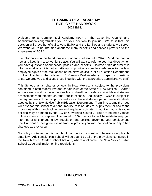# **EL CAMINO REAL ACADEMY**  EMPLOYEE HANDBOOK 2021 Edition

Welcome to El Camino Real Academy (ECRA). The Governing Council and Administration congratulates you on your decision to join us. We trust that this decision will prove beneficial to you, ECRA and the families and students we serve. We want you to be informed about the many benefits and services provided to the employees of ECRA.

The information in this handbook is important to all staff at ECRA. Read the manual now and keep it in a convenient place. You will want to refer to your handbook when you have questions about school policies and benefits. However, this document is informational only, it is not an attempt to provide a complete reference to the law, employee rights or the regulations of the New Mexico Public Education Department, or, if applicable, to the policies of El Camino Real Academy. If specific questions arise, we urge you to discuss those inquiries with the appropriate administrative staff.

This School, as all charter schools in New Mexico, is subject to the provisions contained in both federal law and certain laws of the State of New Mexico. Charter schools are bound by the same New Mexico health and safety, civil rights and student assessment requirements as other public schools. Additionally, ECRA is subject to the requirements of the compulsory education law and student performance standards adopted by the New Mexico Public Education Department. From time to time the need will arise for this school to amend, modify, rescind, delete, supplement or add to the provisions of this handbook as law and regulations dictate. In addition, administrative policies may be made by the ECRA Governing Council. You are bound by these policies when you accept employment at ECRA. Every effort will be made to keep you informed of all changes to law, regulation and policies governing your employment. The Principal or designee will attempt to provide you with notification of any other changes as they occur.

No policy contained in this handbook can be inconsistent with federal or applicable state law. Additionally, this School will be bound by all of the provisions contained in the New Mexico Charter School Act and, where applicable, the New Mexico Public School Code and implementing regulations.

# EMPLOYMENT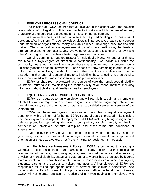# **I. EMPLOYEE PROFESSIONAL CONDUCT.**

The mission of ECRA requires that all involved in the school work and develop relationships of collegiality. It is reasonable to insist on a high degree of mutual, professional and personal respect and a high level of mutual support.

We value teachers, staff and volunteers actively participating in discussions of decisions affecting them. The school values diversity in perspectives leading to a deeper understanding of organizational reality and an enriched knowledge base for decision making. The school values employees resolving conflict in a healthy way that leads to stronger solutions for complex issues. We value employees reflecting on their own and others' thinking in order to achieve better organizational decisions.

Genuine community requires respect for individual privacy. Among other things, this means a high degree of attention to confidentiality. As individuals within the community, we should share information about one another and our students on a judiciously defined need to know basis. If one needs to know something in order to carry out school responsibilities, one should know it; otherwise, the information should not be shared. To that end, all personnel matters, including those affecting you personally, should be treated with utmost confidentiality and professionalism.

ECRA emphasizes the extraordinary degree of care that employees (including volunteers) must take in maintaining the confidentiality of all school matters, including information about children and families as well as employees.

# **II. EQUAL EMPLOYMENT OPPORTUNITY POLICY**.

ECRA is an equal opportunity employer and will recruit, hire, train, and promote in all job titles without regard to race, color, religion, sex, national origin, age, physical or mental handicap, sexual orientation, or status as a disabled veteran or veteran of the Vietnam era.

ECRA will base employment decisions on principles of equal employment opportunity with the intent of furthering ECRA's general goals expressed in its Mission. This policy governs all aspects of employment at ECRA including hiring, assignments, training, promotion, upgrading, demotion, downgrading, transfer, lay-off, termination, compensation, employee benefits, discipline and other terms and conditions of employment.

If you believe that you have been denied an employment opportunity based on your race, religion, sex, national origin, age, physical or mental handicap, sexual orientation or status as a veteran, notify the Principal (or designee) immediately.

**A. No Tolerance Harassment Policy**. ECRA is committed to creating a workplace free of discrimination and harassment for any reason, but in particular for reasons based on race, color, religion, age, sex, national origin, sexual orientation, physical or mental disability, status as a veteran, or any other basis protected by federal, state or local law. This prohibition applies in your relationships with all other employees, students, parents and guardians, visitors and guests. All employees of ECRA are responsible for taking appropriate action to prevent and eliminate harassment and discrimination at ECRA pursuant to the procedures set forth in this handbook. Likewise, ECRA will not tolerate retaliation or reprisals of any type against any employee who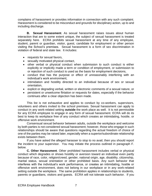complains of harassment or provides information in connection with any such complaint. Harassment is considered to be misconduct and grounds for disciplinary action, up to and including discharge.

**B. Sexual Harassment**. As sexual harassment raises issues about human interaction that are to some extent unique, the subject of sexual harassment is treated separately here. ECRA prohibits sexual harassment at any time of any employee, student, parent or guardian, visitor, guest, candidate for employment or other person visiting the School's premises. Sexual harassment is a form of sex discrimination in violation of federal and state law. It includes:

- requests for sexual favors,
- sexually motivated physical contact,
- other verbal or physical conduct when submission to such conduct is either explicitly or implicitly made a term or condition of employment, or submission to or rejection of such conduct is used as the basis for employment decisions,
- conduct that has the purpose or effect of unreasonably interfering with an individual's work environment,
- intimidation and hostility directed to an individual because of sex or sexual orientation,
- explicit or degrading verbal, written or electronic comments of a sexual nature, or
- persistent or unwelcome flirtation or requests for dates, especially if the behavior continues after a clear objection has been made.

This list is not exhaustive and applies to conduct by co-workers, supervisors, volunteers and others invited to the school premises. Sexual harassment can apply to conduct in any work-related setting **outside** the work place as well. It is not permissible for any ECRA employee to engage in any form of sexual harassment. ECRA will do its best to keep its workplace free of any conduct which creates an intimidating, hostile, or offensive work environment.

Consensual sexual behavior between adults, outside the workplace and welcome by both parties is not considered sexual harassment; however, those who engage in such relationships should be aware that questions regarding the actual freedom of choice of one of the parties may be raised later, especially when a superior/subordinate relationship exists between them.

If you have asked the alleged harasser to stop to no avail, then you should report the incident to your supervisor. You may initiate the process outlined in paragraph F. below.

**C. Other Harassment**. Other prohibited harassment includes verbal or physical conduct which degrades or shows hostility or aversion toward an individual even partly because of race, color, religion/creed, gender, national origin, age, disability, citizenship, marital status, sexual orientation or other prohibited basis. Any such behavior that interferes with the individual's work performance, or creates an intimidating, hostile or offensive work environment, does not belong in our workplace or in any work-related setting outside the workplace. The same prohibition applies in relationships to students, parents or guardians, visitors and guests. ECRA will not tolerate such behavior. If you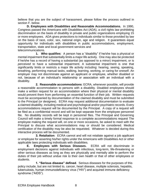believe that you are the subject of harassment, please follow the process outlined in section F. below.

**D. Employees with Disabilities and Reasonable Accommodations.** In 1990, Congress passed the Americans with Disabilities Act (ADA), a civil rights law prohibiting discrimination on the basis of disability in private and public organizations employing 15 or more employees. ADA gives protections to individuals similar to those provided by law on the basis of race, color, sex, national origin, age and religion. It guarantees equal opportunity for individuals with disabilities in public accommodations, employment, transportation, state and local government services and telecommunications.

**1. Who qualifies**: A person has a "disability" if he/she has a physical or mental impairment that substantially limits a major life activity. One may also be protected if he/she has a record of having a substantial (as opposed to a minor) impairment, or is *perceived* to have a substantial impairment. A substantial impairment is one that significantly limits or restricts a major life activity including: hearing, seeing, speaking, breathing, performing manual tasks, walking, learning, working, or caring for oneself. An employer may not discriminate against an applicant or employee, whether disabled or not, because of an individual's relationship or association with an individual with a disability.

**2. Reasonable accommodations**: ECRA, whenever possible, will provide a reasonable accommodation to persons with a disability. Disabled employees should make a written request for an accommodation where their physical or mental disability would prevent them from performing an essential function of their job. Written requests must be accompanied by documentation of the claimed disability and must be submitted to the Principal (or designee). ECRA may request additional documentation to evaluate a claimed disability, including medical and psychological and/or psychiatric records. Every accommodations request will be documented by the Principal. A copy of a request will be filed as a confidential record and will be kept separate from the employee personnel file. No disability records will be kept in personnel files. The Principal and Governing Council will make a timely formal response to a complete accommodations request The employee making the request will, on one or more occasions, be asked to meet with the Principal to discuss what accommodations may or should be considered. Medical certification of the disability may be also be requested. Whatever is decided during this interactive process will be documented.

**3. Retaliation**: ECRA cannot and will not retaliate against a job applicant or employee for asserting his/her rights under the Americans with Disabilities Act or other applicable laws protecting individuals with disabilities.

**E. Employees with Serious Diseases.** ECRA will not discriminate in employment decisions against individuals with infectious, long-term, life-threatening or other serious diseases as long as they are physically and mentally able to perform the duties of their job without undue risk to their own health or that of other employees or students.

**1. "Serious disease" defined**. Serious diseases for the purposes of this policy include, but are not limited to, cancer, heart disease, multiple sclerosis, hepatitis, tuberculosis, human immunodeficiency virus ("HIV") and acquired immune deficiency syndrome ("AIDS").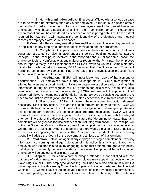**2. Non-discrimination policy**. Employees afflicted with a serious disease are to be treated no differently than any other employee. If the serious disease affects their ability to perform assigned duties, such employees are to be treated like other employees who have disabilities that limit their job performance. Reasonable accommodations will be considered as described above in paragraph D. 2. To the extent required by law, ECRA will maintain the confidentiality of the diagnosis and medical records of employees with serious diseases.

**F. Complaint Procedure, Investigation and Response.** The following procedure is applicable to any employee complaint of discrimination and/or harassment.

**1. Complaint**. Any person who sees or hears about conduct that may constitute harassment or discrimination under this policy should immediately contact the Principal. If the Principal is involved in the reported conduct, or for some reason the employee feels uncomfortable about making a report to the Principal, the employee should report directly to the President of the ECRA Governing Council. Complaints may initially be made verbally. However, ECRA requires that the "Harassment Complaint Form" be completed by complainant as a first step in the investigation process. (See Appendix A for a copy of this form).

**2. Investigation**. ECRA will investigate any report of harassment or discrimination. All employees have a duty to cooperate in ECRA's investigation of alleged harassment or discrimination. Failure to cooperate or deliberately providing false information during an investigation will be grounds for disciplinary action, including termination. In conducting an investigation, ECRA will respect the privacy of all concerned, however, complete confidentiality may not always be possible because of the need to conduct an investigation and take the steps necessary to eliminate harassment.

**3. Response**. ECRA will take whatever corrective action deemed necessary. Disciplinary action, up to and including termination, may be taken. ECRA will discuss with the complainant the outcome of the investigation and where appropriate may ask for feedback regarding the complainant's preferred resolution. ECRA will also discuss the outcome of the investigation and any disciplinary actions with the alleged offender. The date of the discussion shall constitute the "determination date." Bad faith complaints will be grounds for disciplinary action, including termination. The Principal will notify the Governing Council of the outcome of the complaint and an official opinion as to whether there is sufficient evident to support that there was a violation of ECRA policies. In cases involving allegations against the Principal, the President of the Governing Council will advise the Council of the outcome and an issue an official opinion.

**G. Retaliation.** Retaliation against any employee raising a complaint or providing information concerning an alleged violation of this policy is strictly prohibited. Any employee who violates this policy by engaging in conduct defined throughout this policy that directly or indirectly causes intimidation, harassment or physical harm to another employee will be subject to disciplinary action.

**H. Appeal.** If the complainant or alleged offender is not satisfied with the outcome of a discrimination complaint, either employee may appeal that decision to the Governing Council. The employee appealing the Principal's decision must submit a written appeal to the Governing Council with copies to the other party and the Principal within ten (10) working days of the employee's notification of the Principal's determination. The non-appealing party and the Principal have the option of submitting written materials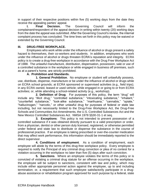in support of their respective positions within five (5) working days from the date they receive the appealing parties' appeal.

**I. Final Decision.** The Governing Council will inform the complainant/respondent of the appeal decision in writing within twenty (20) working days from the date the appeal was submitted. After the Governing Council's review, the internal complaint process has concluded. The time lines set forth in this policy may be waived or extended by the Governing Council.

# **III. DRUG-FREE WORKPLACE.**

Employees who work while under the influence of alcohol or drugs present a safety hazard to themselves, their co-workers and students. In addition, employees who work under the influence of alcohol or drugs threaten ECRA's reputation and integrity. ECRA policy is to create a drug-free workplace in accordance with the Drug Free Workplace Act of 1988. The unlawful manufacture, distribution, dispensation, possession, sale or use of a controlled substance in the workplace or while engaged in business off premises, such as at a parent's home, are strictly prohibited.

# **A. Prohibition and Standards.**

**1. General Prohibition**. No employee or student will unlawfully possess, use, distribute, dispense, manufacture or be under the influence of alcohol or drugs while on ECRA school grounds; at ECRA sponsored or supervised activities (e.g., field trips); in any ECRA owned, leased or used vehicle; while engaged in or going to or from ECRA activities; or, while attending a school-related activity (e.g., workshop).

**2. Definition of Drug**. For purposes of this policy, the term "drug" will include any "illicit drug," "controlled substance," "intoxicating substance," "inhalant," "counterfeit substance," "look-alike substance," "marihuana," "cannabis," "opiate," "hallucinogen," "narcotic," or other unlawful drug for purposes of federal or state law including, but not necessarily limited to the Drug-Free Workplace Act, the Drug-Free Schools and Communities Act Amendments, the U.S. Controlled Substances Act and the New Mexico Controlled Substances Act. NMSA 1978 §§30-31-1 et seq.

**3. Exceptions**: This policy is not intended to prevent possession of a controlled substance if it was obtained directly pursuant to a valid prescription or order, from a physician, dentist or other person duly licensed, registered, or otherwise permitted under federal and state law to distribute or dispense the substance in the course of professional practice. If an employee is taking prescribed or over-the-counter medication that may affect work performance, this information should be immediately reported to the direct supervisor.

**4. Conditions of employment**. As a condition of employment, each employee will abide by the terms of this drug-free workplace policy. Every employee is required to notify the Principal of any criminal drug conviction or plea of no contest for a violation occurring in the workplace no later than five (5) days after such conviction.

**5. Sanctions**. Where an employee violates the terms of this policy or is convicted of violating a criminal drug statute for an offense occurring in the workplace, the employee will be subject to sanctions, consistent with law and policy, which may include either appropriate personnel action against the employee, up to and including termination; or, a requirement that such employee satisfactorily participate in a drugabuse assistance or rehabilitation program approved for such purpose by a federal, state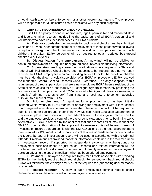or local health agency, law enforcement or another appropriate agency. The employee will be responsible for all uninsured costs associated with any such program.

#### **IV. CRIMINAL RECORDS/BACKGROUND CHECKS.**

It is ECRA's policy to conduct appropriate, legally permissible and mandated state and federal criminal records inquiries into the background of all ECRA personnel and volunteers who have unsupervised access to ECRA students.

**A. Date for submission**. All requests for background checks must be submitted within one (1) week after commencement of employment of those persons who, following receipt of a background check clearance, will have direct, unsupervised contact with children. Thereafter, ECRA personnel will be required to obtain updated background checks every five years.

**B. Disqualification from employment**. An individual will not be eligible for continued employment if a required background check reveals disqualifying information.

**C. Supervision pending clearance**. In situations where requests for State and Federal Criminal Records Checks have been submitted, but reports have not yet been received by ECRA, employees who are providing service to or for the benefit of children must be under the direct, physical supervision of an ECRA employee who ECRA received the mandated Federal Criminal Records Check Clearance. The only exception to this requirement of direct supervision is where a new employee ECRA been a resident of the State of New Mexico for no less than five (5) contiguous years immediately preceding the commencement of employment and ECRA received a background clearance (meaning a "negative" criminal records check) from State and local law enforcement agencies pursuant to a request from ECRA.

**D. Prior employment**. An applicant for employment who has been initially licensed within twenty-four (24) months of applying for employment with a local school board, regional education cooperative or another charter school will not be required to submit to another background check if the New Mexico Public Education Department or previous employer has copies of his/her federal bureau of investigation records on file and the employee provides a copy of the background clearance prior to beginning work. Alternatively, ECRA, if advised by the applicant that such records exist, may request the NMPED, upon authorization of the applicant, to release copies of federal bureau of investigation records that are on file with the NMPED as long as the records are not more than twenty-four (24) months old. Convictions of felonies or misdemeanors contained in the federal bureau of investigation record will be used in accordance with the Criminal Offender Employment Act provided that other information contained in the federal bureau of investigation record, if supported by independent evidence, may be grounds for employment decisions based on just cause. Records and related information will be privileged and will not be disclosed to a person not directly involved in the employment decision affecting the specific applicant who has been offered employment,

**E. Payment**. Employees are required to pay for all costs associated with providing ECRA for their initially required background check. For subsequent background checks ECRA will reimburse the employee for 50% of the required fee (supporting documentation is required).

**F. Record retention**. A copy of each employee's criminal records check clearance letter will be maintained in the employee's personnel file.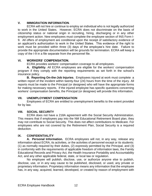### **V. IMMIGRATION INFORMATION**.

ECRA will not hire or continue to employ an individual who is not legally authorized to work in the United States. However, ECRA does not discriminate on the basis of citizenship status or national origin in recruiting, hiring, discharging or in any other employment action. New employees must complete the employee section of INS Form I-9. All offers of employment are conditional upon the receipt of satisfactory evidence of an applicant's authorization to work in the United States. This evidence of the right to work must be provided within three (3) days of the employee's hire date. Failure to provide the appropriate documentation will be grounds for termination. ECRA will keep a copy of the I-9 in a file separate from the personnel file.

# **VI. WORKERS' COMPENSATION.**

ECRA provides workers' compensation coverage to all employees.

**A. Eligibility**. All ECRA employees are eligible for the workers' compensation program if they comply with the reporting requirements as set forth in the school's insurance policy.

**B. Reporting On-the-Job Injuries**. Employees injured at work must complete a written report of the incident within twenty-four (24) hours from the time of the injury. All reports must be made to the Principal (or designee) who will have the appropriate forms for making necessary reports. If the injured employee has specific questions concerning workers' compensation benefits, the Principal (or designee) will provide this information.

#### **VII. UNEMPLOYMENT COMPENSATION**

Employees of ECRA are entitled to unemployment benefits to the extent provided for by law.

#### **VIII. SOCIAL SECURITY**

ECRA does not have a 218A agreement with the Social Security Administration. This means that if employees pay into the NM Educational Retirement Board plan, they may not contribute to Social Security. This does not affect contributions to Medicare. For employees who are not covered by the Retirement Plan, Social Security is a required deduction.

#### **IX. CONFIDENTIALITY**

**A. Personal Information.** ECRA employees will not, in any way, release any information about ECRA, its activities, or the activities of personnel except or its students: (1) as normally required by their duties, (2) expressly permitted by the Principal, and (3) in conformity with the requirements of applicable freedom of information laws, the Family Educational Records and Privacy Act, the Health Insurance Portability and Accountability Act, and any other applicable federal, state, or local law or regulation.

No employee will publish, disclose, use, or authorize anyone else to publish, disclose, use, or in any way cause to be published, disclosed, or used, any private or proprietary information. Proprietary information means any information that the employee has, in any way, acquired, learned, developed, or created by reason of employment with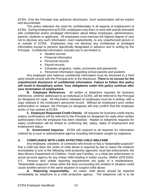ECRA. Only the Principal may authorize disclosures. Such authorization will be explicit and documented.

This policy reiterates the need for confidentiality in all aspects of employment at ECRA. During employment at ECRA, employees may learn or work with and be entrusted with confidential and/or privileged information about fellow employees, administrators, parents, students or applicants. All employees must exercise the highest degree of care not to disclose any such information, even inadvertently, to any unauthorized person in or outside of ECRA. Employees may not disclose any confidential or privileged information except to persons specifically designated in advance and in writing by the Principal. Confidential information includes but is not limited to:

- Student records
- Financial information
- Personnel records
- Payroll records
- Computer programs, codes, processes and passwords
- Personnel information regarding school parents and students

Any employee who believes confidential information must be disclosed to a third party should consult with the Principal prior to the disclosure. **There is no excuse for the unauthorized disclosure of confidential information**. **Failure to follow this policy will result in disciplinary action. Your obligations under this policy continue after your termination of employment.**

**B. Employee References**. All written or telephone requests for business references, whether addressed to an individual or ECRA, will be referred to the Principal (or designee) for reply. All information released on employees must be in writing, with a copy retained in the employee's personnel record. Without an employee's prior written authorization or release, the Principal (or designee) will only confirm that the employee works or has worked at ECRA.

**C. Employee Requested Credit Checks**. All requests for business credit checks (salary confirmation) will be referred to the Principal (or designee) for reply when written authorization from the employee has been obtained. Replies to telephone requests for salary confirmation will be limited to confirming title, salary, dates of employment and employment status.

**D. Government Inquiries**. ECRA will respond to all requests for information ordered by a court or administrative agency including information sought by subpoena.

#### **X. COMPLIANCE WITH LAWS AFFECTING CHILD WELFARE**

Any employee, volunteer, or contractor who knows or has a "reasonable suspicion" that a child has been the victim of child abuse is required by law to report the instance immediately to one of the following child protective agencies: local law enforcement; the New Mexico Department of Children, Youth and Families, or a tribal law enforcement or social services agency for any Indian child residing in Indian country. NMSA 1978 §32A-4-3. Persons who violate reporting requirements are guilty of a misdemeanor. "Reasonable suspicion" arises when the facts surrounding the incident or situation could cause another person in the same situation to suspect child abuse.

**A. Reporting responsibility**. As noted, child abuse should be reported immediately by telephone to a child protective agency. The telephone call is to be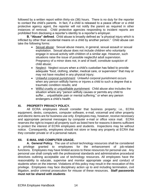followed by a written report within thirty-six (36) hours. There is no duty for the reporter to contact the child's parents. In fact, if a child is released to a peace officer or a child protective agency agent, the reporter will not notify the parent as required in other instances of removal. Child protective agencies responding to incident reports are prohibited from disclosing a reporter's identity to a reporter's employer.

**B. "Abuse" defined**. Child abuse is broadly defined as "a physical injury which is inflicted by other than accidental means on a child by another person." Child abuse can take the following forms:

- Sexual abuse: Sexual abuse means, in general, sexual assault or sexual exploitation. Sexual abuse does not include children who voluntarily engage in sexual activity with children of a similar age. However, such situations raise the issue of possible neglectful adult supervision. Pregnancy of a minor does not, in and of itself, constitute suspicion of child abuse;
- Neglect: Neglect occurs when a child's custodian has failed to provide adequate "food, clothing, shelter, medical care, or supervision" that may or may not have resulted in any physical injury;
- Unlawful corporal punishment: Unlawful corporal punishment occurs when any person willfully harms or injures a child to such a degree that a traumatic condition results; and
- Willful cruelty or unjustifiable punishment: Child abuse also includes the situation where any "person willfully causes or permits any child to suffer… unjustifiable pain or mental suffering," or when any person endangers a child's health.

# **XI. PROPERTY PRIVACY POLICY.**

All ECRA employees should consider that business property; i.e., ECRA equipment, desks, computers, computer software, e-mail, voicemail and other property and electric items are for business use only. Employees may, however, receive necessary and appropriate personal messages by computer e-mail or office voice mail. ECRA reserves the right to inspect all property such as listed here for reasons it deems sufficient to protect the interest of ECRA employees and students. Inspections may be without notice. Consequently, employees should not store or keep any property at ECRA that they consider private or of a personal nature.

# **XII. E-MAIL AND COMPUTER USAGE.**

**A. General Policy.** The use of school technology resources shall be considered a privilege granted to employees for the enhancement of job-related functions. Employees may have limited access to these resources for personal use. Any personal use shall comply with the professional standards and administrative procedural directives outlining acceptable use of technology resources. All employees have the reasonability to educate, supervise and monitor appropriate usage and conduct of students when on the internet. Violations of this policy may result in the revocation of this privilege. Employees may face disciplinary action up to and including termination, civil litigation, and/or criminal prosecution for misuse of these resources. **Staff passwords must not be shared with students**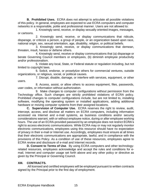**B. Prohibited Uses.** ECRA does not attempt to articulate all possible violations of this policy. In general, employees are expected to use ECRA computers and computer networks in a responsible, polite and professional manner. Users are not allowed to:

1. Knowingly send, receive, or display sexually oriented images, messages, or cartoons.

2. Knowingly send, receive, or display communications that ridicule, disparage, or criticize a person, a group of people, or an organization based upon race, national origin, sex, sexual orientation, age, disability, religion, or political beliefs.

3. Knowingly send, receive, or display communications that demean, threaten, insult, harass or defame others.

4. Knowingly send, receive or display communications that (a) disparage or berate Governing Council members or employees, (b) diminish employee productivity and/or professionalism.

5. Violate any local, State, or Federal statute or regulation including, but not limited to copyright laws.

6. Solicit, endorse, or proselytize others for commercial ventures, outside organizations, or religious, social, or political causes.

7. Disrupt, disable, damage, or interfere with services, equipment, or other users.

8. Access, assist, or allow others to access equipment, files, passwords, user codes, or information without authorization.

9. Make changes to computer configurations without permission from the Technology office. Such changes are strictly prohibited violations of ECRA policy. Prohibited changes to computer configurations include, but are not limited to, installing software, modifying the operating system or installed applications, adding additional hardware or moving computer systems from their assigned locations.

**C. Supervision of Computer Use.** ECRA reserves the right to review, audit, intercept, access, and disclose all matters on ECRA computers, including information accessed via Internet and e-mail systems, as business conditions and/or security considerations warrant, with or without employee notice, during or after employee working hours. The use of an ECRA-provided password by an employee does not restrict ECRA's right to access electronic communications. While ECRA may or may not regularly monitor electronic communications, employees using this resource should have no expectation of privacy in their e-mail or Internet use. Accordingly, employees must ensure at all times that their electronic communications are appropriate, lawful, and in compliance with the provisions of this Policy. As a condition of use of these resources, employees agree to ECRA review and disclosure of e-mail and Internet records.

**D. Consent to Terms of Use**. By using ECRA computers and other technologyrelated resources, employees acknowledge and accept the rules and conditions for email, Internet and computer usage set forth above and any other policy or directive as given by the Principal or Governing Council.

#### **XIII. CONTRACTS.**

All licensed and certified employees will be employed pursuant to written contracts signed by the Principal prior to the first day of employment.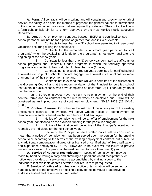**A. Form**. All contracts will be in writing and will contain and specify the length of service, the salary to be paid, the method of payment, the general causes for termination of the contract and other provisions that are required by state law. The contract will be in a form substantially similar to a form approved by the New Mexico Public Education Department.

**B. Length**. All employment contracts between ECRA and certified/licensed school personnel will not be for a period of greater than one (1) year except:

1. Contracts for less than one (1) school year permitted to fill personnel vacancies occurring during the school year;

2. Contracts for the remainder of a school year permitted to staff program(s) when the availability of funds for the program(s) is not known until after the beginning of the school year;

3. Contracts for less than one (1) school year permitted to staff summer school programs and federally funded programs in which the federally approved programs are specified to be conducted for less than one (1) year;

4. Contracts not to exceed three (3) years permitted for certified school administrators in public schools who are engaged in administrative functions for more than one-half of their employment time; and,

5. Contracts not to exceed three (3) years permitted at the discretion of the Governing Council and at the recommendation of the Principal for certified school instructors in public schools who have completed at least three (3) full contract years at the charter school.

In sum, ECRA employees have no right to re-employment at the end of their contract terms and no contract entered into between an employee and ECRA will be construed as an implied promise of continued employment. NMSA 1978 §22-10A-21 (2003).

**C. Contract Renewal**. On or before the last day of the school year of the existing employment contract, the Principal will serve written notice of reemployment or termination on each licensed teacher or other certified employee.

1. Notice of reemployment will be an offer of employment for the next school year, conditioned on the available funding for the particular program.

2. Notice of termination will be notice of the Principal's intent not to reemploy the individual for the next school year.

3. Failure of the Principal to serve written notice will be construed to mean that a notice of reemployment has been served upon the person for the ensuing school year according to the terms of the existing employment contract, but subject to any additional compensation allowed other licensed or certified staff of like qualifications and experience employed by ECRA. However, in no event will the failure to provide written notice extend the period of the next contract to more than one (1) year.

**D. Service of Notice of Reemployment**. Notice of reemployment may be made by hand delivering a copy and obtaining a signed and dated receipt that such notice was provided; or, service may be accomplished by mailing a copy to the individual's last available address certified mail return receipt requested.

 **E. Service of notice of termination**. Notice of termination will be served by hand delivering to the employee or mailing a copy to the individual's last provided address certified mail return receipt requested.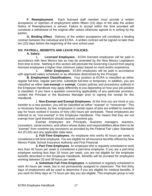**F. Reemployment**. Each licensed staff member must provide a written acceptance or rejection of employment within fifteen (15) days of the date the written Notice of Reemployment is served. Failure to accept within the time provided will constitute a withdrawal of the original offer unless otherwise agreed to in writing by the parties.

**G. Binding Effect.** Delivery of the written acceptance will constitute a binding contract between the individual and ECRA. A written contract will be signed no later than ten (10) days before the beginning of the next school year.

# **XIV. PAYROLL, BENEFITS AND LEAVE POLICIES.**

# **A. Salary.**

1**. Licensed Employees.** ECRA licensed employees will be paid in accordance with New Mexico law as may be amended by the New Mexico Legislature from time to time. Nothing in this section will preclude the Governing Council from paying licensed employees a higher than minimum salary based on merit and/or experience.

2. **Other Employees.** ECRA employees will be paid in accordance with approved salary schedules or as otherwise determined by the Principal.

**B. Employment Classifications.** Your position at ECRA is classified as either regular full-time, regular part-time, substitute full-time or temporary. In addition, you are classified as either **non-exempt** or **exempt**. Certain policies and procedures outlined in the Employee Handbook may apply differently to you depending on how your job position is classified. If you have a question concerning applicability of any particular provision, contact the Principal or the Business Manager prior to signing the receipt for this Handbook.

1. **Non-Exempt and Exempt Employees**. At the time you are hired or you transfer to a new position, you will be classified as either "exempt" or "nonexempt." This is necessary because, by law, employees in certain types of jobs are entitled to overtime pay for hours worked in excess of forty (40) hours per workweek. These employees are referred to as "non-exempt" in this Employee Handbook. This means that they are not exempt from (and therefore should receive) overtime pay.

Exempt employees are Principals, business managers, teachers, counselors, social workers, and others whose duties and responsibilities allow them to be "exempt" from overtime pay provisions as provided by the Federal Fair Labor Standards Act (FLSA) and any applicable state laws.

**2. Full-Time Employees**. An employee who works 40 hours per week, is considered a full-time employee. You are eligible for all insurance benefits offered by New Mexico Public School Insurance Authority and First Financial.

**3. Part-Time Employees**. An employee who is regularly scheduled to work less than 40 hours per week is considered a part-time employee. If you are a part-time employee working less than 20 hours per week, you are not eligible for the employee benefits described in this Employee Handbook. Benefits will be prorated for employees working between 20 and 39 hours per week.

**4. Substitute Full-Time Employees.** A substitute is regularly scheduled to work 40 hours per week, but is not permanently assigned to classroom. The first thirty days of employment will be used to determine if you are eligible for medical benefits. If you work for thirty days at 7.5 hours per day you are eligible. This employee group is only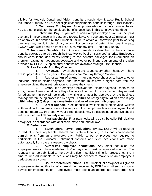eligible for Medical, Dental and Vision benefits through New Mexico Public School Insurance Authority. You are not eligible for supplemental benefits through First Financial.

**5. Temporary Employees.** An employee who works on an on-call basis. You are not eligible for the employee benefits described in this Employee Handbook

**6. Overtime Pay**. If you are a non-exempt employee you will be paid overtime in accordance with state and federal laws. Any overtime over 10 minutes must be approved in advance by the Principal; failure to obtain authorization prior to working overtime may result in disciplinary action. For purposes of determining overtime pay, ECRA's work week shall be from 12:00 a.m. Monday until 11:59 p.m. Sunday.

**C. Insurance Benefits**. ECRA offers benefits as described in the insurance benefits package offered through the New Mexico Public Insurance Authority. Employees should consult the documents relating to the benefits packages for information on premium payments, dependent coverage and other pertinent requirements of the plan provided by ECRA. Supplemental benefits are available through First Financial.

# **D. Pay Periods And Pay Checks**.

**1. Pay Days**. Payroll checks are issued every other Thursday. There are 26 pay dates in most years. Pay periods are Monday through Sunday.

**2. Authorization of agent**. If an employee chooses to have another individual pick up his/her paycheck, that individual must have a signed note from the employee giving them authorization to receive the check.

**3. Error**. If an employee believes that his/her paycheck contains an error, the employee should notify Payroll on a staff concern form or an email. Any request for adjustment in pay will be made in writing and must be approved by the business manager before being processed by payroll. **Failure to notify payroll of an error in pay within ninety (90) days may constitute a waiver of any such discrepancy**.

**4. Direct Deposit**. Direct deposit is available to all employees. Written authorization for automatic deposit is required. If an employee leaves employment and does not return ECRA property, your direct deposit may be discontinued and live checks will be issued until all property is returned.

**5. Final paychecks**. Final paychecks will be distributed by Principal (or designee) in accordance with applicable state and federal laws.

#### **E. Deductions**.

**1. State/Federal Payroll deductions**. By law, ECRA will be required to deduct, where applicable, federal and state withholding taxes and court-ordered garnishments from an employee's pay. Public school employees are required to participate in the Educator Retirement systems and such deductions are made automatically from the employee's paycheck.

**2. Authorized employee deductions**. Any other deduction the employee desires to have made from his/her pay check must be requested in writing. The request must be submitted to the payroll office in sufficient time for processing. From time to time adjustments to deductions may be needed to make sure an employee's deductions are correct.

**3. Court-ordered deductions**. The Principal (or designee) will give an employee written notification of a garnishment received by ECRA and will send a copy to payroll for implementation. Employees must obtain an appropriate court-order and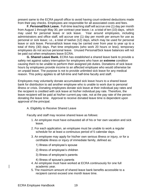present same to the ECRA payroll office to avoid having court-ordered deductions made from their pay checks. Employees are responsible for all associated costs and fees.

**F. Personal/Sick Leave.** Full-time teaching staff will accrue one (1) day per month from August 1 through May 30, per contract year leave; i.e. a total of ten (10) days, which may used for personal leave or sick leave. Year around employees, including administrators and office staff, will accrue one (1) day per month per annum for use as personal or sick leave; i.e., a total of twelve (12) days, which may be used for personal leave or sick leave. Personal/sick leave may be carried over from year to year up to a total of thirty (30) days. Part time employees (who work 20 hours or less), temporary employees do not accrue personal leave. Unused Personal/Sick leave balances will not be paid out when employees leave ECRA.

**G. Shared Leave Bank.** ECRA has established a shared leave bank to provide a safety net against salary interruption for employees who have an **extreme** condition causing them to be unable to perform their assigned job duties. Donations of sick leave hours by employees provide income to an affected employee who would otherwise be on unpaid leave. The purpose is not to provide unlimited sick leave for any medical reason. This policy applies to all full-time and half-time faculty and staff.

Employees may voluntarily donate accumulated sick leave hours to a shared leave bank for distribution to aid another employee who is unable to work due to personal illness or crisis. Donating employees donate sick leave at their individual pay rates and the recipient is credited with sick leave at his/her individual pay rate. Therefore, the leave recipient will be paid at his/her current pay rate, not at the pay rate of the person donating the leave time. Approval to receive donated leave time is dependent upon approval of the principal.

A. Eligibility to Receive Shared Leave

Faculty and staff may receive shared leave as follows:

- 1. An employee must have exhausted all of his or her own vacation and sick leave.
- 2. For each application, an employee must be unable to work a regular schedule for at least a continuous period of 5 calendar days.
- 3. An employee may apply for his/her own serious illness or injury, or for a certifiable illness or injury of immediate family, defined as:
	- 1) Illness of employee's spouse
	- 2) Illness of employee's children
	- 3) Illness of employee's parents
	- 4) Illness of spouse's parents
- 4. An employee must have worked at ECRA continuously for one full academic year.
- 5. The maximum amount of shared leave bank benefits accessible to a recipient cannot exceed one month leave time.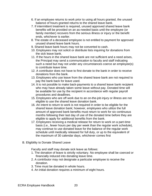- 6. If an employee returns to work prior to using all hours granted, the unused balance of hours granted returns to the shared leave bank.
- 7. If intermittent treatment is required, unused approved shared leave bank benefits will be provided on an as-needed basis until the employee (or family member) recovers from the serious illness or injury or the benefit ends, whichever is earlier.
- 8. The estate of a deceased employee is not entitled to payment for approved unused shared leave bank hours.
- 9. Shared leave bank hours may not be converted to cash.
- 10. Employees may not solicit or distribute lists inquiring for donations from the sick leave bank.
- 11. If the hours in the shared leave bank are not sufficient and a need arises, the Principal may send a communication to faculty and staff indicating such a need but may not under any circumstances coerce an employee(s) to contribute leave time.
- 12. A contributor does not have to first donate to the bank in order to receive donations from the bank.
- 13. Employees who use leave from the shared leave bank are not required to pay the bank back for leave used.
- 14. It is not possible to make back-payments to a shared leave bank recipient who may have already taken some leave without pay. Donated time will be available for use by the recipient in accordance with regular payroll procedures and deadlines.
- 15. Employees who are off work due to an on-the-job injury or illness are not eligible to use the shared leave donation bank.
- 16. An intent to return to work is not required in order to be eligible for the shared leave donation bank; however, employees who utilize the full amount of approved bank benefits must return to work for six continuous months following their last day of use of the donated time before they are eligible to apply for additional benefits from the bank.
- 17. Employees receiving a medical release for return to work on a part-time basis (i.e., fewer hours per day per week than the regular work schedule), may continue to use donated leave for the balance of the regular work schedule until medically released for full duty, or up to the equivalent of the maximum of 30 calendar days, whichever comes first
- B. Eligibility to Donate Shared Leave

Faculty and staff may donate sick leave as follows:

- 1. The donation of leave is strictly voluntary. No employee shall be coerced or financially induced into donating leave time.
- 2. A contributor may not designate a particular employee to receive the donation.
- 3. Time must be donated in whole hours.
- 4. An initial donation requires a minimum of eight hours.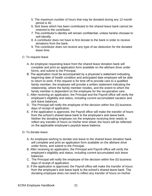- 5. The maximum number of hours that may be donated during any 12-month period is 40.
- 6. Sick leave which has been contributed to the shared leave bank cannot be restored to the contributor.
- 7. The contributor's identity will remain confidential, unless he/she chooses to self-identify.
- 8. A contributor does not have to first donate to the bank in order to receive donations from the bank.
- 9. The contributor does not receive any type of tax deduction for the donated leave time.
- C: To request leave
	- A. An employee requesting leave from the shared leave donation bank will complete and print an application form available on the allshare drive under forms, and submit to the Principal.
	- B. The application must be accompanied by a physician's statement indicating beginning date of health condition and anticipated date employee will be able to return to work. If the request is for time off to provide care to a qualified family member, the employee will provide a written statement indicating the relationship, where the family member resides, and the extent to which the family member is dependent on the employee for the recuperative care.
	- C. After receiving an application, the Principal and the Payroll office will verify the employee's eligibility and status, including current accumulated vacation and sick leave balances.
	- D. The Principal will notify the employee of the decision within five (5) business days of receipt of application.
	- E. If the application is approved, the Payroll office will make the transfer of hours from the school's shared leave bank to the employee's sick leave bank. Neither the donating employee nor the employee receiving time needs to reflect any transfer of hours on his/her time sheet; the hours will be reflected on the applicable employee's paystub leave balance.
- D: To donate leave:
	- A. An employee wishing to donate sick leave to the shared leave donation bank will complete and print an application form available on the allshare drive under forms, and submit to the Principal.
	- B. After receiving an application, the Principal and Payroll office will verify the employee's eligibility and status, including current accumulated sick leave balances.
	- C. The Principal will notify the employee of the decision within five (5) business days of receipt of application.
	- D. If the application is approved, the Payroll office will make the transfer of hours from the employee's sick leave bank to the school's shared leave bank. The donating employee does not need to reflect any transfer of hours on his/her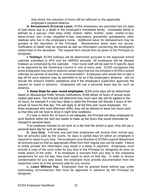time sheet; the reduction of hours will be reflected on the applicable employee's paystub balance.

**H. Bereavement (Funeral) Leave**. ECRA employees are permitted two (2) days of paid leave due to a death in the employee's immediate family. Immediate family is defined as a spouse, child (step child), mother, father, brother, sister, mother-in-law, father-in-law, son- in-law, daughter-in-law, step-parent, grandchild, grandparent, other relatives who live in the employee's home. Additional leave for bereavement may be granted at the discretion of the Principal. Bereavement leave does not accrue. Verification of death may be required as well as information concerning the employee's relationship to the deceased. The request form should then be given to the Principal (or designee).

**I. Holidays**. ECRA holidays will be determined pursuant to the approved school calendar submitted to APS and the NMPED annually. All employees will be allowed holidays as scheduled by the calendar. Year round staff will be paid for 9 specific days to be approved by the Governing Council in July of every year. ECRA recognizes that some employees may wish to observe certain days that are not included in ECRA's school calendar as periods of worship or commemoration. Employees who would like to take a day off for such reasons may be permitted to do so if the employee's absence will not disrupt the school's orderly operations and if the employee's supervisor approves the request for leave in advance. Employees will use a personal leave day for such an absence.

**J. Snow Days for year round employees**. ECRA snow days will be determined based on Albuquerque Public Schools notifications. ECRA allows 16 hours of annual snowrelated paid leave. The Principal will determine how much each day will be applied to the 16 hours, for example if a two hour delay is called the Principal will allocate 2 hours of the annual 16 hours for that day. This will apply to all full time year round employees. For those employees who work afternoon shifts, they will be allowed to leave two hours early so that they will not have to drive in night time conditions.

If a year in which the 16 hours is not adequate, the Principal will allow employees to work flextime within the next two weeks to make up the hours that would otherwise be charged to personal leave.

If an employee chooses to not work on a day that the school is open, they will use a personal leave day for such an absence.

**K. Jury Duty**. Full-time and part-time employees will receive their normal pay, less all amounts paid by the courts, for days or partial days for which an employee is required to report to jury duty. The employee must disclose to ECRA's payroll department all amounts paid so that an appropriate offset from their regular pay can be made. Failure to timely provide this information may result in a delay in payment. Employees must provide a copy of the court order for jury duty to the Principal (or designee) as soon as made aware of the order. If an employee is excused from jury duty or the subpoena assignment for any full day, they must report to work on that day. In order to receive compensation for jury duty leave, the employee must provide documentation from the respective court as to the amounts paid for jury service.

**L. Leave Without Pay**. Employees may be granted leave without pay under extenuating circumstances that must be approved in advance by the Principal (or designee).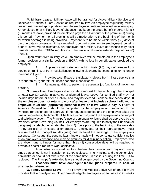**M. Military Leave**. Military leave will be granted for Active Military Service and Reserve or National Guard Service as required by law. An employee requesting military leave must present appropriate orders. An employee on military leave will receive no pay. An employee on a military leave of absence may keep the group benefit program for six (6) months of leave, provided the employee pays the full amount of the premium(s) during this period. Payment for all premiums will be made prior to the beginning of the month for which coverage is being provided. Payment is to be made within thirty (30) days of the due date or coverage will be cancelled. Upon reinstatement to employment, benefits prior to leave will be reinstated. An employee on a military leave of absence may elect benefits under the COBRA regulations if the leave of absence extends beyond six (6) months.

Upon return from military leave, an employee will be reinstated to the employee's former position or a similar position at ECRA with no loss in benefit status provided the employee:

Applies for reinstatement within ninety (90) days of release from service or training, or from hospitalization following discharge but continuing for no longer than one (1) year;

2. Provides a certificate of satisfactory release from military service that is "honorable", "general", or "under honorable conditions;"

3. Remains qualified to perform the essential job functions of the former position.

**N. Leave Use.** Employees shall initiate a request for leave through the Principal at least two (2) weeks in advance of planned leave. Leave for certified staff may not include days before or after a Holiday and may not exceed 3 consecutive school days. **If the employee does not return to work after leave that includes school holiday, the employee must use (approved) personal leave or leave without pay.** A Leave of Absence Request form should be completed by the employee and submitted to the Principal (or designee) for approval. If the request is denied and the employee takes the time off regardless, the time off will be leave without pay and the employee may be subject to disciplinary action. The Principal's use of personal/sick leave shall be approved by the President of the Governing Council. All employees are required to notify the Principal (or designee) by telephone no later than two (2) hours prior to the beginning of the work day if they are sick or in cases of emergency. Employees, or their representative, must confirm that the Principal (or designee) has received the message of the employee's absence. Consequently, sending last minute e-mails will not constitute sufficient notice of an employee's absence and may be grounds for disciplinary action. Employees who are absent due to illness for more than three (3) consecutive days will be required to provide a doctor's return to work certificate.

Administrators should try to schedule their non-contract days-off during times that school is not in session or ECRA is closed. The Principal and the senior viceadministrator should not take leave at the same time, unless it is during the time ECRA is closed. The Principal's extended leave should be approved by the Governing Council.

**Teachers must have contingent lesson plans prepared in case of unexpected absences**.

**O. Family Medical Leave.** The Family and Medical Leave Act of 1993 (FMLA) provides that a qualifying employer provide eligible employees up to twelve (12) weeks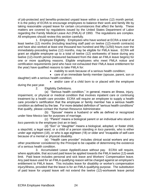of job-protected and benefits-protected unpaid leave within a twelve (12) month period. It is the policy of ECRA to encourage employees to balance their work and family life by taking reasonable unpaid leave for certain circumstances that affect the family. These matters are covered by regulations issued by the United States Department of Labor regarding the Family Medical Leave Act (FMLA) of 1993. The regulations are complex. All employees should review this section carefully.

1. Employee Eligibility. Employees who have worked at ECRA a total of at least twelve (12) months (including teaching staff paid on twelve (12)-month contracts) and have also worked at least one thousand two hundred and fifty (1250) hours over the immediately-preceding twelve (12) months, may be eligible for FMLA leave. ECRA will grant an eligible employee up to a total of twelve (12) workweeks of leave during any twelve (12)-month period (measured backward from the date an FMLA leave begins) for one or more qualifying reasons. Eligible employees who meet FMLA notice and certification requirements (and who have not exhausted their FMLA leave entitlement for the year) have qualified reasons to take FMLA for:

• inability to work because of a serious health condition;

 care of an immediate family member (spouse, parent, son or daughter) with a serious health condition;

• and/or care of a child born to or placed with the employee

during the past year.

2. Eligibility Definitions.

(a) "Serious health condition," in general, means an illness, injury, impairment, or physical or medical condition that involves inpatient care or continuing treatment by a health care provider. ECRA will require an employee to supply a health care provider's certification that the employee or family member has a serious health condition as defined by the law. For more detailed definition of "serious health conditions" that qualify, please contact the Human Resource Administrator.

(b) "Spouse" means a husband or wife as defined or recognized under New Mexico law for purposes of marriage.

(c) "Parent" means a biological parent or an individual who stood *in loco parentis* to the employee (not an in-law).

(d) "Son" or "daughter" means a biological, adopted, or foster child, a stepchild, a legal ward, or a child of a person standing *in loco parentis*, who is either under age eighteen (18), or who is age eighteen (18) or older and "incapable of self-care because of a mental or physical disability.

(e) "Health care provider" includes clinical social workers and any other practitioner considered by the Principal to be capable of determining the existence of a serious health condition.

3. Accumulated Leave Applied/Leave without pay. ECRA will require, where applicable, that accrued paid leave be applied towards the FMLA twelve (12)-week limit. Paid leave includes personal and sick leave and Workers' Compensation leave. Any paid leave used for an FMLA qualifying reason will be charged against an employee's entitlement to FMLA leave. This includes leave for disability or worker's compensation injury/illness, provided that the leave is for an FMLA qualifying purpose. The substitution of paid leave for unpaid leave will not extend the twelve (12)-workweek leave period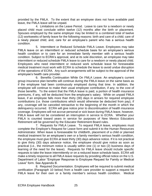provided by the FMLA. To the extent that an employee does not have available paid leave, the FMLA leave will be unpaid.

4. Limitations on the Leave Period. Leave to care for a newborn or newly placed child must conclude within twelve (12) months after the birth or placement. Spouses employed by the same employer may be limited to a combined total of twelve (12) workweeks of family leave for the following reasons: birth and care of a child; care of a newly placed child; and, care for an employee's parent who has a serious health condition.

5. Intermittent or Reduced Schedule FMLA Leave. Employees may take FMLA leave on an intermittent or reduced schedule basis for an employee's serious health condition or to care for an immediate family member with a serious health condition. Subject to ECRA's approval, and at its sole discretion, an employee may take intermittent or reduced schedule FMLA leave to care for a newborn or newly placed child. Employees who need intermittent or reduced work schedule leave for foreseeable medical treatment must work with ECRA to schedule the leave to avoid undue disruption of the operations of ECRA. Any such arrangements will be subject to the approval of the employee's health care provider.

6. Benefits Continuation While On FMLA Leave. An employee's current group insurance plan benefits will continue during the FMLA leave on the same basis as if the employee had been continuously employed during that time. In addition, the employee will continue to make their usual employee contribution, if any, to the cost of those benefits. To the extent that the FMLA leave is paid, a portion of health insurance premiums, if any, will be deducted from the employee's salary. While on unpaid FMLA leave, if an employee falls more than thirty (30) days in arrears for required employee contributions (i.e. those contributions which would otherwise be deducted from pay), if any, coverage will be canceled retroactive to the beginning of the month in which the delinquency occurred. ECRA will give notice prior to discontinuation of health insurance coverage. Employees will not accrue personal or sick leave during FMLA leave, however, FMLA leave will not be considered an interruption in service to ECRA. Whether your FMLA is counted toward years in service for purposes of New Mexico Educators Retirement will be governed by the Educator Retirement Board rules.

7. Requests for FMLA Leave. To request FMLA leave, employees must complete the Employer's Request for Leave form and submit it to the Human Resources Administrator. When leave is foreseeable for childbirth, placement of a child or planned medical treatment for an employee's own or a family member's serious health condition, the employee must give ECRA at least thirty (30) days advance notice. If it is not practical to give thirty (30) days advance notice, the employee should give notice as soon as practical (i.e., the minimum notice is usually within one (1) or two (2) business days of learning of the need for the leave). Requests for FMLA leave should include specific requests to take the leave intermittently or on a reduced leave schedule basis. ECRA will make a timely response to all FMLA leave requests by providing official notice on the U.S. Department of Labor "Employer Response to Employee Request for Family or Medical Leave" form. See Appendix B.

8. Required Documentation. Employees will be required to submit medical certification (Paragraph 10 below) from a health care provider to support a request for FMLA leave for their own or a family member's serious health condition. Medical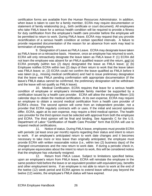certification forms are available from the Human Resources Administrator. In addition, when leave is taken to care for a family member, ECRA may require documentation or statement of family relationship (e.g., birth certificate or court document). All employees who take FMLA leave for a serious health condition will be required to provide a fitness for duty certification from the employee's health care provider before the employee will be permitted to return to work. During FMLA leave, ECRA may request that you provide recertification of a serious health condition at certain specified intervals. A failure to provide requested documentation of the reason for an absence from work may lead to termination of employment.

9. Designation of Leave as FMLA Leave. ECRA may designate leave taken as FMLA leave on a retroactive basis. However, once an employee has returned to work, ECRA will only retroactively designate the leave taken as FMLA leave if: (1) ECRA did not learn the employee was absent for an FMLA qualified reason until the return, and (a) ECRA promptly (within two (2) days) designated the leave as FMLA leave; or (b) Employee notifies ECRA within two (2) days of their return to work that the leave taken was FMLA leave; or, (2) ECRA could not confirm the leave qualified as FMLA before it was taken (e.g., missing medical certification) and had to issue preliminary designation that the leave was FMLA pending confirmation with appropriate documentation (if the leave's FMLA status cannot be confirmed, the preliminary designation will be withdrawn and the leave will not qualify as FMLA leave).

10. Medical Certification. ECRA requires that leave for a serious health condition of employee or employee's immediate family member be supported by a certification issued by a health care provider. ECRA will allow the employee fifteen (15) calendar days to obtain the medical certification. At its own expense, ECRA may require an employee to obtain a second medical certification from a health care provider of ECRA's choice. The second opinion will come from an independent provider, not a provider that ECRA regularly contracts with or uses. If the initial and second opinions differ, ECRA, again at its own expense, may require a third medical opinion. The health care provider for the third opinion must be selected with approval from both the employee and ECRA. The third opinion will be final and binding. See Appendix C for the U.S. Department of Labor "Certification of Health Care Provider" form that ECRA will use to request medical certifications.

11. Notice of status. During FMLA leave, employees must provide ECRA with periodic (at least once per month) reports regarding their status and intent to return to work. If an employee's anticipated return to work date changes and it becomes necessary to take more or less leave than originally anticipated, the employee must provide ECRA with written reasonable notice (i.e., within two (2) business days) of the changed circumstances and the new return to work date. If during a periodic check in, an employee equivocates about the intent to return to work, this will be considered notice that the employee has voluntarily resigned.

12. Return from FMLA Leave. Subject to limitations specified below, upon an employee's return from FMLA leave, ECRA will reinstate the employee in the same position held before the leave or an equivalent position with equivalent pay, benefits and other employment terms. If an employee is not able to return to work at the end of the twelve (12) week period and ECRA agrees to extend leave without pay beyond the twelve (12) weeks, the employee's FMLA status will have expired.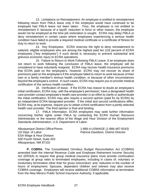13. Limitations on Reinstatement. An employee is entitled to reinstatement following return from FMLA leave only if the employee would have continued to be employed had FMLA leave not been taken. Thus, the employee is not entitled to reinstatement if, because of a layoff, reduction in force or other reason, the employee would not be employed at the time job restoration is sought. ECRA may delay FMLA or deny reinstatement in certain cases where employees experiencing a serious health condition have failed to provide a required medical certificate or a certificate of fitness for duty to return to work.

14. Key Employees. ECRA reserves the right to deny reinstatement to salaried, eligible employees who are among the highest paid ten (10) percent of ECRA employees ("key employees") if such denial is necessary to prevent substantial and grievous economic injury to ECRA operations.

15. Failure to Return to Work Following FMLA Leave. If an employee does not return to work following the conclusion of FMLA leave, the employee will be considered to have voluntarily resigned. ECRA may recover health insurance premiums that ECRA paid on the employee's. However, ECRA may not recover its share of premiums paid on the employee's if the employee failed to return to work because of their own or a family member's serious health condition, or because of other circumstances beyond the employee's control. In such cases, ECRA may require you to provide medical certification of the serious health condition.

16. Verification of leave. If the ECRA has reason to doubt an employee's initial certification, ECRA may, with the employee's permission, have a designated health care provider contact employee's health care provider in an effort to clarify or authenticate the initial certification. ECRA may also require a second opinion (paid for by ECRA) by an independent ECRA-designated provider. If the initial and second certifications differ, ECRA may, at its expense, require you to obtain a third certification from a jointly selected health care provider. The third opinion is final and binding.

17. FMLA Information. ECRA employees may seek further information concerning his/her rights under FMLA by contacting the ECRA Human Resource Administrator or the nearest office of the Wage and Hour Division of the Employment Standards Administration, U.S. Department of Labor:

ESA Wage & Hour Division 500 Fourth Street, Suite 403 Albuquerque, NM 87102

Albuquerque District OfficePhone: 1-866-4-USWAGE (1-866-487-9243) US Dept. of Labor **Patricia Davidson, District Director** 

**P. COBRA.** The Consolidated Omnibus Budget Reconciliation Act (COBRA) amended both the Internal Revenue Code and Employee Retirement Income Security Act (ERISA) to require that group medical insurance plans must provide continuation coverage at group rates to terminated employees, including in cases of: voluntary or involuntary termination other than for gross misconduct; and, reduction in the number of hours of employment. Spouses, dependent children and retirees may also receive COBRA coverage. Employees will receive additional COBRA information at termination from the New Mexico Public School Insurance Authority, if applicable.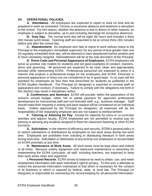#### **XV. OPERATIONAL POLICIES.**

**A. Attendance**. All employees are expected to report to work on time and be prepared to work as scheduled. Chronic or excessive absence and tardiness is disruptive to the school. For this reason, whether the absence is due to illness or other reasons, an employee is subject to discipline, up to and including discharge for excessive absences.

**B. Duty Day.** The normal work day will be eight (8) hours and includes a thirty (30) minute lunch break. Teaching staff are expected to be at school thirty (30) minutes before and after the school day.

**C. Abandonment.** An employee who fails to report to work without notice to the Principal or the employee's immediate supervisor for any period of time greater than one (3) regularly scheduled work day, will be deemed to have abandoned his/her position and to have voluntarily resigned. Reinstatement will be at the sole discretion of the Principal.

**D. Dress Code and Personal Appearance of Employees**. ECRA employees will serve as positive role models for students and set good examples of conduct, manners, dress and grooming. All personnel are expected to be neat, clean and appropriately dressed while representing ECRA. Professional personnel are expected to dress in a manner that projects a professional image for the employees and ECRA. Extremes in personal appearance or dress are not considered to be in good taste. In no case will the standard for employees be less than that prescribed for students as published in the ECRA Student Handbook. The Principal (or designee) is expected to counsel staff on appearance and conduct, if necessary. Failure to comply with the obligations set forth in this Section may result in disciplinary action.

**E. Conferences and Seminars**. ECRA will provide, within the parameters of the school's annual budget, either full or partial payment for approved professional development for instructional staff and non-licensed staff; e.g., business manager. Staff should make their requests in writing and each request will be considered on an individual basis. Unless approved by the Principal (or designee), all expenses will be the responsibility of the requesting employee and are not subject to reimbursement.

**F. Tutoring or Advising for Pay.** Except for stipends for extra or co-curricular activities and adjunct faculty, ECRA employees are not permitted to receive pay for tutoring or advising any students assigned to them for classroom teaching or other ECRA functions.

**G. Solicitation**. In the interest of efficiency and security, ECRA's general policy is to restrict solicitations or distributions by employees to non-work areas during non-work time. Employees are prohibited from soliciting or distributing literature in work areas during work time. Solicitation or distribution of any kind by non employees is not permitted on ECRA premises at any time.

**H. Maintenance of Work Areas**. All work areas must be kept clean and orderly at all times. Because orderly equipment and classroom maintenance is necessary for implementing the ECRA curriculum, all staff, including teachers, are expected to keep their work areas clean and organized.

**I. Personnel Records**. ECRA strives to balance its need to obtain, use, and retain employment information with each individual's right to privacy. To this end, it attempts to restrict the personnel information maintained to that which is necessary for the conduct of its business or which is required by federal, state, or local law. The Principal (or designee) is responsible for overseeing the record keeping for all personnel information.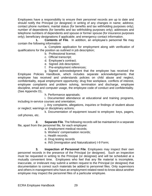Employees have a responsibility to ensure their personnel records are up to date and should notify the Principal (or designee) in writing of any changes in name; address; contact phone numbers; marital status (for benefits and tax withholding purposes only); number of dependents (for benefits and tax withholding purposes only); addresses and telephone numbers of dependents and spouse or former spouse (for insurance purposes only); beneficiary designations if applicable; and emergency contact information.

**Contents of File**. In addition, an employee's personnel file may contain the following information:

a. Complete application for employment along with verification of qualifications for the position as outlined in job description;

- b. Professional license;
- c. Official transcript;
- d. Employee's contract;
- e. Signed Job description;
- f. Pre-employment references;

g. Signed acknowledgment that the employee has received the Employee Policies Handbook, which includes separate acknowledgements that employee has received and understands policies on child abuse and neglect, confidentiality, equal employment opportunity; drug free workplace, conflicts of interest, employee complaints and problem solving, termination and discharge, employee discipline, email and computer usage, the employee code of conduct and confidentiality. (See Appendix D);.

h. Performance appraisals;

i. Documented attendance at educational and training programs, including in-service courses and orientation;

j. Any complaints, allegations, inquiries or findings of student abuse or neglect; warnings or disciplinary actions;

k. Documentation of equipment issued to employee: keys, pagers, cell phones, etc.

**2. Separate File**. The following records will be maintained in a separate file, apart from the personnel file, for each employee:

- a. Employment medical records;
- b. Workers' compensation records;
- c. Health records;
- d. Drug testing records
- e. INS (Immigration and Naturalization) I-9 Form;

**3. Inspection of Personnel File**. Employees may inspect their own personnel records in the presence of the Principal (or designee). Such an inspection must be requested in writing to the Principal (or designee) and will be scheduled at a mutually convenient time. Employees who feel that any file material is incomplete, inaccurate, or irrelevant may submit a written request to the Principal (or designee) that documentation to correct such materials be added to personnel files. Only supervisors and others in management who have an employment related need-to-know about another employee may inspect the personnel files of a particular employee.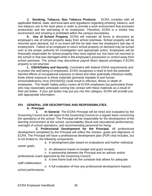**J. Smoking, Tobacco, Non Tobacco Products**. ECRA complies with all applicable federal, state, and local laws and regulations regarding smoking, tobacco, and non-tobacco use in the work place in order to provide a work environment that promotes productivity and the well-being of its employees. Therefore, ECRA is a smoke free environment and smoking is prohibited within the campus boundaries.

**K. Use of School Property**. ECRA will maintain all forms to document an employee's use of school property away from school premises. School property will be returned upon demand, but in no event will this be later than the employee's last day of employment. Failure of an employee to return school property on demand may be turned over to the proper authority for investigation and appropriate action. Employees will be financially responsible for school property they have signed out, but have not returned to the school or that was damaged while in the employee's possession or control away from school premises. The school may discontinue payroll direct deposit privileges if ECRA property is not returned.

**L. OSHA/Safety and Security.** Consistent with federal OSHA requirements and to protect the well-being of employees, ECRA recognizes a need to limit the potential harmful effects of occupational exposure to blood and other potentially infectious bodily fluids where exposure to these materials (primarily hepatitis B and human immunodeficiency virus (HIV/AIDS)) could result in infection, illness or death of employees. The Health Safety policy covers all ECRA employees but particularly those who may reasonably anticipate coming into contact with these materials as a result of their job duties. If your job duties may put you into this category, ECRA will provide you with appropriate information.

# **XVI. GENERAL JOB DESCRIPTONS AND RESPONSIBILITIES. A. Principal**.

**1. In General**. The ECRA Principal will be hired and evaluated by the Governing Council and will report to the Governing Council on a regular basis concerning the operations of the school. The Principal will be responsible for the development of the learning environment at the school, accountability (fiscal and educational performance), oversight of school operations, and recommending personnel for hiring.

**2. Professional Development for the Principal**. All professional development completed by the Principal will reflect the mission, goals and objectives of ECRA. The Principal will have a professional development plan (PDP) that includes, but is not limited to, the following components:

a. A development plan based on evaluations and his/her individual

career goals;

b. An allowance based on budget and grant receipts;

c. A partnership between the Principal and an advisor and/or professional coach approved by the Governing Council;

d. A time frame built into the schedule that allows for adequate staff collaboration;

e. A full evaluation of how any professional development impacts school performance.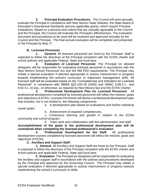**3. Principal Evaluation Procedures**. The Council will semi-annually evaluate the Principal in compliance with New Mexico State Statutes, the State Board of Education's Educational Standards and any applicable grants, which require Principal evaluations. Based on a process and criteria that are mutually agreeable to the Council and the Principal, the Council will evaluate the Principal's effectiveness. The evaluation document and procedures to be used will be reviewed and approved annually by the Council and the Principal. The final annual evaluation will be completed and presented to the Principal by May 1<sup>st</sup>.

# **B. Licensed Personnel**.

**1. General**. All licensed personnel are hired by the Principal. Staff is expected to follow the directives of the Principal consistent with the ECRA charter and school policies and applicable Federal, State and local laws.

**2. Evaluation of Licensed Personnel**. The Principal (or allowed designee) will be responsible for evaluating licensed personnel in accordance with the New Mexico School Personnel Act and the NM PED requirements. The Principal may initiate a special evaluation if deemed appropriate to assess improvement or progress towards implementing the school's curriculum or classroom management skills. All licensed staff will be evaluated based on the "Competencies and Indicators for Licensed Personnel" in compliance with NMSA §22-10A-19 (2003) and NMAC 6.69.4.1., and 6.62.4.1, et seq., or otherwise, as required by New Mexico law and the ECRA Charter.

**3. Professional Development Plan for Licensed Personnel**. All professional development completed by licensed personnel will reflect the mission, goals and objectives of ECRA. Licensed Personnel will devise a professional development plan that includes, but is not limited to, the following components:

a. A development plan based on evaluations and his/her individual career goals;

b. Achievement of required competencies;

c. Continuous learning and growth in relation to the ECRA community and school program;

d. Team work and collaboration with the administration and staff.

**Accomplishment of the goals in the professional development plan will be considered when completing the licensed professional's evaluation**.

**4. Professional Development for the Staff**. All professional development courses completed by licensed personnel will reflect the mission, goals and objectives of ECRA.

# **C. Ancillary and Support Staff**.

**1. General**. All Ancillary and Support Staff are hired by the Principal. Staff is expected to follow the directives of the Principal consistent with the ECRA charter and school policies and applicable Federal, State and local laws.

**2. Evaluation**. The Principal (or designee) will be responsible for evaluating the ancillary and support staff in accordance with the policies and procedures developed by the Principal and approved by the Governing Council. The Principal may initiate a special evaluation if deemed appropriate to assess improvement or progress towards implementing the school's curriculum or skills.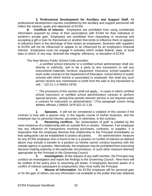**3. Professional Development for Ancillary and Support Staff.** All professional development courses completed by the ancillary and support personnel will reflect the mission, goals and objectives of ECRA.

**D. Conflicts of Interest.** Employees are prohibited from using confidential information acquired by virtue of their associations with ECRA for their individual or another's private gain. Employees are prohibited from requesting or receiving and accepting a gift or loan for themselves or another that tends to influence them or appears to influence them in the discharge of their duties as employees. Business with suppliers to ECRA will not be influenced or appear to be influenced by an employee's financial interest. Employees must not engage in activities which violate federal, state, or local laws or which, in any way, diminish the integrity, efficiency, or discipline of ECRA.

The New Mexico Public School Code provides:

"...a certified school instructor or a certified school administrator shall not, directly or indirectly, sell or be a party to any transaction to sell any instructional materials, furniture, equipment, insurance, school supplies or work under contract to the Department of Education, school district or public schools with which he/she is associated or employed. Nor shall any such person receive any commission or profit from the sale or any transaction to sell..." (22-21-1.A NMSA 1978)

"...The provisions of this section shall not apply... in cases in which certified school instructors or certified school administrators contract to perform special services...during time periods wherein service is not required under a contract for instruction or administration." (This paragraph covers hiring athletic officials.) (NMSA 1978 §22-21-1.B)

**1. Spouses.** It will not be considered a violation of this section if the contract is truly with a spouse only, in the regular course of his/her business, and the employee has no personal interest, pecuniary or otherwise, in the contract.

**2. Resolving conflicts.** No "presumption of guilt" is created by the mere existence of a relationship with an outside firm or vendor. However, if an employee has any influence on transactions involving purchases, contracts, or supplies, it is imperative that the employee disclose that relationship to the Principal immediately so that safeguards can be established to protect all parties. An administrative measure for any ECRA employee who is found to be in a position of Conflict of Interest as defined above may include a transfer to a position so he/she cannot conduct business with the outside agency in question. Alternatively, the employee may be prohibited from exercising decision-making authority in the particular circumstance, or such other measure deemed appropriate by the Principal or the Governing Council.

**3. Investigation.** At the request of any staff member, the Principal may conduct an investigation and report the findings to the Governing Council. New hires will be notified of the policy prior to assuming job duties. If employees become aware of a conflict of interest subsequent to employment, they must notify the Principal.

**4. Misuse of Information**. No ECRA employee will for personal gain or for the gain of others use any information not available to the public that was obtained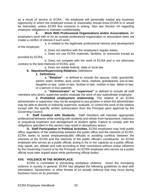as a result of service to ECRA. No employee will personally exploit any business opportunity in which the employee knows or reasonably should know ECRA is or would be interested, unless ECRA first consents in writing. Also see Section VII regarding employee obligations to maintain confidentiality.

**5. Work With Professional Organizations and/or Associations**. An employee's work with or for an outside professional organization or association does not create a conflict of interest if such work:

a. Is related to the legitimate professional interest and development of the employee;

b. Does not interfere with the employee's regular duties;

c. Does not use ECRA materials, facilities, or resources except as provided by ECRA;

d. Does not compete with the work of ECRA and is not otherwise contrary to the best interests of ECRA; and,

e. Does not violate federal, state or local law.

**E. Nepotism/Supervising Relatives.** Definitions:

#### **1. Definitions.**

a. **"Relative"** - is defined to include the spouse, child, grandchild, parent, sister, brother, aunt, uncle, niece, nephew, grandparent, son-in-law, daughter-in-law, sister-in-law, brother-in-law, mother-in-law, father-in-law, or a person *in loco parentis*.

b. **"Administrator" or "supervisor"** is defined to include all staff members who direct, supervise and/or evaluate the work of any subordinate employee.

**2. Prohibited employment relationship.** The relative of an ECRA administrator or supervisor may not be assigned to any position in which the administrator may be able to directly or indirectly supervise, evaluate, or control the work of the relative except with the specific written authorization from the Principal upon approval by the Governing Council.

**F. Staff Conduct with Students.** Staff members will maintain appropriate professional behavior while working with students and refrain from harassment, malicious or prejudicial treatment and abridgement of student rights. Failure to comply with the obligations specified in this section may result in disciplinary action.

**G. Staff Participation in Political Activities.** ECRA employees may hold public office regardless of the relationship between the public office and the interests of ECRA. ECRA seeks to assist employees/public officials in avoiding conflicts between the interests of the ECRA and the interests of the public official's constituents. An ECRA employee who serves as a public official, acting in his or her capacity as a public official, may speak, act, debate and vote according to their convictions without undue influence by the Governing Council or by the Principal. An ECRA employee who serves as a public official must take unpaid leave while performing official duties.

# **XVII. VIOLENCE IN THE WORKPLACE**.

ECRA is committed to preventing workplace violence. Given the increasing violence in society in general, ECRA has adopted the following guidelines to deal with intimidation, harassment, or other threats of (or actual) violence that may occur during business hours on its premises.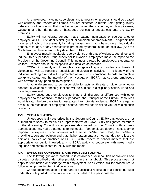All employees, including supervisors and temporary employees, should be treated with courtesy and respect at all times. You are expected to refrain from fighting, rowdy behavior, or other conduct that may be dangerous to others. You may not bring firearms, weapons or other dangerous or hazardous devices or substances onto the ECRA premises.

ECRA will not tolerate conduct that threatens, intimidates, or coerces another employee, an ECRA student, visitor, guest, or candidate for employment. This prohibition includes all acts of harassment, including harassment that is based on an individual's gender, race, age, or any characteristic protected by federal, state, or local law. (See the No Tolerance Harassment Policy described in IIA).

Employees must immediately report violence or threats of violence, both direct and indirect, to a supervisor. If the supervisor is involved, employees make the report to the President of the Governing Council. This includes threats by employees, students, or visitors. Reports should be as specific and detailed as possible.

ECRA will promptly and thoroughly investigate all reports of violence or threats of violence as well as reports of suspicious individuals or activities. The identity of the individual making a report will be protected as much as is practical. In order to maintain workplace safety and the integrity of the investigation, ECRA may suspend employees with or without pay, pending investigation.

Anyone determined to be responsible for acts or threats of violence or other conduct in violation of these guidelines will be subject to disciplinary action, up to and including dismissal.

ECRA encourages employees to bring their disputes or differences with other employees to the attention of their supervisors, the Principal or the Human Resources Administrator, before the situation escalates into potential violence. ECRA is eager to assist in the resolution of employee disputes, and will not discipline you for raising such concerns.

#### **XVIII. MEDIA RELATIONS**.

Unless specifically authorized by the Governing Council, ECRA employees are not authorized to speak to media as a representative of ECRA. Only designated members of the Governing Council, or employees designated by the Council with express authorization, may make statements to the media. If an employee deems it necessary or important to express his/her opinions to the media, he/she must clarify that he/she is providing a personal opinion and that his/her statements are not intended to reflect the opinions, policies or practices of ECRA. With respect to school matters that are appropriate for public knowledge, it is ECRA policy to cooperate with news media inquiries and communicate truthfully with the media.

#### **XIX. EMPLOYEE COMPLAINTS AND PROBLEM SOLVING**

The following grievance procedure is established for resolution of problems and disputes not described under other provisions in this handbook. This process does not apply to termination or discharge from employment. See Section XIX for procedures to follow when protesting termination actions.

Careful documentation is important to successful resolution of a conflict pursued under this policy. All documentation is to be included in the personnel file: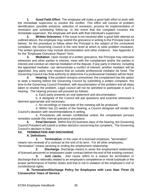**1. Good Faith Effort**. The employee will make a good faith effort to work with the immediate supervisor to resolve the conflict. This effort will consist of problem identification, possible solutions, selection of resolution, process for implementation of resolution and scheduling follow-up. In the event that the complaint involves the immediate supervisor, the employee will work with that individual's supervisor.

**2. Written Grievance**. If the issue is not resolved after a good faith attempt as outlined above, the employee may submit the grievance in writing to the Principal (see #4 below) for the procedure to follow when the Principal is the subject of the unresolved complaint, the Governing Council is the next level at which to seek problem resolution. The written grievance may include documentation and other evidence. See Appendix E for the "Employee Grievance Report" form.

**3. Mediation**. Upon receipt of a written grievance, the Principal may interview witnesses and other parties in interest, meet with the complainant and/or the parties in interest and conduct an internal mediation of the dispute. If any party in interest, including the appointed mediator, can demonstrate a conflict of interest, another mediator will be appointed. Any party may request that an outside professional mediator be hired. The Governing Council has final authority to determine if a professional mediator will be hired.

**4. Hearing**. If the problem remains unresolved, the complainant has the option to seek a hearing before the Governing Council by submitting a written complaint, this time to the Governing Council President, with documentation of the problem and all steps taken to resolve the problem. Legal council will not be admitted to participate in such a hearing. The hearing process will proceed as follows:

a. Each party presents an oral statement and documentation.

b. A designee of the Council will ask questions and examine witnesses if deemed appropriate and necessary.

c. No recordings or transcripts of the meeting will be produced.

d. Within two (2) weeks of the hearing, a Council designee will render the Council's decision with recommendations in writing.

e. Procedures will remain confidential unless the complainant pursues remedies outside this internal grievance procedure.

**5. Final Decision.** Within five (5) business days of the hearing, the Governing Council President will submit a written decision concerning the complaint. The Governing Council's decision is final.

# **XX. TERMINATION AND DISCHARGE**.

# **A. Definitions**.

**1. Termination.** In the case of a licensed employee, "termination" means non-renewal of a contract at the end of its term. For all other employees, "termination" means severing or ending the employment relationship.

**2. Discharge.** Discharge means to sever the employment relationship of licensed personnel or employees under contract before the end of the existing contract.

**3. Just cause.** Just cause refers to a reason for termination or discharge that is rationally related to an employee's competence or moral turpitude or the proper performance of his/her duties and that is not in violation of the employee's civil or constitutional rights.

**B. Termination/Discharge Policy for Employees with Less than Three (3) Consecutive Years of Service.**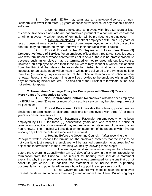**1. General.** ECRA may terminate an employee (licensed or nonlicensed) with fewer than three (3) years of consecutive service for any reason it deems sufficient.

a. Non-contract employees. Employees with three (3) years or less of consecutive service and who are not employed pursuant to a contract are considered at- will employees. A written notice of termination will be provided to the employee.

b. Contract employees. Contract employees with three (3) years or less of consecutive service; i.e., who have not been reemployed under a third consecutive contract, may be terminated by non-renewal of their contracts without cause.

**2. Protest Procedure for Employees with Less than Three (3) Consecutive Years of Service.** For an employee of less than three (3) consecutive years who was terminated or whose contract was not renewed, there is no protest procedure because such an employee may be terminated or not renewed without just cause. However, an employee of less than three (3) years may request a written explanation from the Principal that details the rationale for his/her termination or non-renewal. Requests for an explanation will be made in writing and delivered to the Principal no later than five (5) working days after receipt of the notice of termination or notice of nonrenewal. Reasons for the determination will be provided to the employee within ten (10) days of receiving his/her request. The decision of the Principal to terminate is final and not subject to appeal.

#### **C. Termination/Discharge Policy for Employees with Three (3) Years or More Years of Consecutive Service.**

**1. Non-Contract and Contract**: No employee who has been employed by ECRA for three (3) years or more of consecutive service may be discharged except for just cause.

**2. Protest Procedure**. ECRA provides the following procedures for challenges to termination or discharge decisions for employees with three (3) or more years of consecutive service:

a. Request for Statement of Rationale. An employee who has been employed by ECRA for three (3) consecutive years and who receives a notice of termination or notice of non-renewal may request a written statement of the reasons for non-renewal. The Principal will provide a written statement of the rationale within five (5) working days from the date she receives the request.

b. Hearing Before the Governing Council. If after receiving the Principal's written reasons for termination, the employee contends that the reasons do not constitute just cause, the employee will be granted permission to address his/her objections to termination to the Governing Council by following these steps:

i. The employee must submit a written request for a hearing before the Governing Council within ten (10) days after receiving the written rationale for termination from the Principal. The request for hearing must include a statement explaining why the employee believes that he/she was terminated for reasons that do not constitute just cause. In addition, the statement must include facts, supporting documentation and potential witnesses who will support the employee's position.

ii. The Governing Council will meet to hear the employee present the statement in no less than five (5) and no more than fifteen (15) working days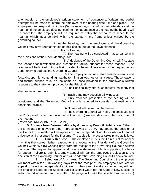after receipt of the employee's written statement of contentions. Written and verbal attempts will be made to inform the employee of the hearing date, time and place. The employee must respond within five (5) business days to confirm their attendance at the hearing. If the employee does not confirm their attendance at the hearing the hearing will be cancelled. The employee will be required to notify the school to re-schedule the hearing, which must be held within the statutory time frame unless waived by the governing council.

iii. At the hearing, both the employee and the Governing Council may have representation of their choice, but at their own expense.

iv. Rules for Hearing:

(A) The hearing will be conducted in accordance with the provisions of the Open Meetings Act.

(B) A designee of the Governing Council will first state the reasons for termination and present the factual support for those reasons. The reasons will be limited to those first provided to the employee after his/her request for an opportunity to address the Governing Council.

(C) The employee will next state his/her reasons and factual support for contending that the termination was not for just cause. Those reasons and factual support must be the same as those provided in the employee's written response to the statement provided by the Principal.

(D) The Principal may offer such rebuttal testimony that

she deems appropriate.

(E) Each party may question all witnesses.

(F) Only evidence presented at the hearing will be considered and the Governing Council is only required to consider that testimony it considers reliable.

(G) No record will be kept of the hearing.

(H) The Governing Council will notify the employee and the Principal of its decision in writing within five (5) working days from the conclusion of the meeting.

[Reference, NMSA 1978 §22-10A-24.]

**D. Appeals from Determinations by Governing Council: Arbitration**. Either the terminated employee or other representatives of ECRA may appeal the decision of the Council. The matter will be appealed to an independent arbitrator who will hear all evidence as if presented for the first time. The arbitration process takes place as follows:

**1. Timely Request**. The employee must submit a request for appeal in writing that states his/her reasons for the appeal to the President of the Governing Council within five (5) working days from the receipt of the Governing Council's written decision. The request for appeal must include a statement of facts supporting the basis for appeal. Failure to submit a timely appeal will bar the employee's objection to the decision of the Governing Council and will render the Governing Council's decision final.

**2. Selection of Arbitrator**. The Governing Council and the employee will meet within ten (10) working days from the receipt of the employee's request for appeal to select an independent arbitrator. If they cannot make a choice, they will ask the presiding judge of the Second Judicial District Court for the State of New Mexico to select an individual to hear the matter. The judge will make the selection within five (5)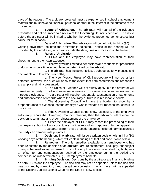days of the request. The arbitrator selected must be experienced in school employment matters and must have no financial, personal or other direct interest in the outcome of the proceeding.

**3. Scope of Arbitration.** The arbitrator will hear all of the evidence presented and not be limited to a review of the Governing Council's decision. The issue before the arbitrator will be limited to whether the evidence presented demonstrates just cause for termination.

**4**. **Date of Arbitration**. The arbitration will be held within thirty (30) working days from the date the arbitrator is selected. Notice of the hearing will be provided by the arbitrator, which will include the date, time and location of the hearing.

#### **5. Rules of Arbitration**:

a. ECRA and the employee may have representation of their choosing, but at their own expense;

b. Discovery will be limited to depositions and requests for production of documents on a time schedule to be determined by the arbitrator;

c. The arbitrator has the power to issue subpoenas for witnesses and documents and to administer oaths;

d. The New Mexico Rules of Civil procedure will not be strictly enforced, however, the rules will apply to the extent that both contentions and responses are amply and fairly presented;

e. The Rules of Evidence will not strictly apply, but the arbitrator will permit either party to call and examine witnesses, to cross-examine witnesses and to introduce evidence. The arbitrator will require reasonable substantiation of statements and authentication of records where the accuracy or truth is in reasonable doubt;

f. The Governing Council will have the burden to show by a preponderance of evidence that the employee was terminated for reasons that constitute just cause.

g. If the Governing Council cannot show just cause, or the employee sufficiently rebuts the Governing Council's reasons, then the arbitrator will reverse the decision to terminate and order reinstatement of the employee;

h. Either the employee or ECRA may record the proceeding at their own expense, but it will not constitute an official record for purposes of further appeal.

i. Departures from these procedures are considered harmless unless the party can demonstrate prejudice.

**6. Decision**. The arbitrator will issue a written decision within thirty (30) working days of the hearing, which will contain findings of fact and conclusions of law.

**7. Remedies**. The only remedies available to an employee who has been reinstated by the decision of an arbitrator are: reinstatement; back pay, but subject to any scheduled salary increase to which the employee may be entitled; or, both, less an offset for any compensation received by the employee during the period the compensation was terminated; e.g., unemployment benefits.

**8. Binding Decision**. Decisions by the arbitrator are final and binding on both ECRA and the employee. The decision may not be appealed unless the decision was procured by corruption, fraud, deception or collusion, in which case it will be appealed to the Second Judicial District Court for the State of New Mexico.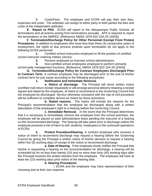9. Costs/Fees. The employee and ECRA will pay their own fees, expenses and costs. The arbitrator can assign to either party or both parties the fees and costs of the independent arbitrator.

**E. Report to PED**. ECRA will report to the Albuquerque Public Schools all terminations and all actions arising from terminations annually. APS is required to report the terminations to the NMPED. [Reference NMSA 1978 §22-10A-25 (2003)]

**F. Termination/Discharge Policy for Other Personnel Exempt From Protest Procedures**: In addition to employees who have less than three (3) consecutive years of employment, the rights to due process protests upon termination do not apply to the following ECRA personnel:

**1.** Certified school instructors employed to fill the position of certified school instructor entering military service;

**2.** Persons employed as licensed school administrators;

**3.** Non-certified school employees employed to perform primarily school-wide management functions. [Reference, NMSA 1978 §22-10A-26 (2003)]

**G. Termination/Discharge Policy for Contract Employees Discharged Prior to Contract Term**. A contract employee may be discharged prior to the end of his/her contract term for just cause according to the following procedures:

**1. Notification and Immediate Removal.**

**a. Notice of discharge**. The Principal will serve written notice (certified mail return receipt requested) or will arrange personal delivery retaining a receipt signed and dated by the employee, of intent to recommend to the Governing Council that the employee be discharged. Service otherwise consistent with the rule of civil procedure will be sufficient to complete service as meant by these provisions.

**b. Stated reasons**. The notice will include the reasons for the Principal's recommendation that the employee be discharged along with a written description of the employee's right to a hearing before the Governing Council.

**c. Immediate Removal**. In the event that the Principal determines that it is necessary to immediately remove the employee from the school premises, the employee will be placed on paid administrative leave pending the outcome of a hearing on the recommended discharge. The hearing will take place prior to discharge unless the employee presents a risk of harm to self, students, employees or the continued operations of ECRA.

**2. Protest Procedure/Hearing**. A contract employee who receives a notice of intent to recommend discharge may request a hearing before the Governing Council by giving the Principal a written notice of his/her decision to request a hearing within five (5) working days of receipt of the notice to recommend discharge.

**a. Date of Hearing**. If the employee timely notifies the Principal that he/she is requesting a hearing on the recommendation for discharge, a hearing will be scheduled by for no less than twenty (20) and no more than forty (40) working days after the Principal receives the written election from the employee. The employee will have at least ten (10) working days prior notice of the hearing date.

#### **b. Hearing Procedures**.

i. ECRA and the employee may have representation of their choosing and at their own expense.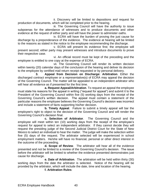ii. Discovery will be limited to depositions and request for production of documents, which will be completed prior to the hearing.

iii. The Governing Council will have the authority to issue subpoenas for the attendance of witnesses and to produce documents and other evidence at the request of either party and will have the power to administer oaths.

iv. ECRA will have the burden of proving the just cause for discharge by a preponderance of the evidence. The evidence at hearing will be limited to the reasons as stated in the notice to the employee recommending the discharge.

v. ECRA will present its evidence first; the employee will present second; either party may present witnesses and introduce documents to prove their respective case.

vi. An official record must be kept of the preceding and the employee is entitled to one copy at the expense of ECRA.

vii. The Governing Council will render its written decision within twenty (20) calendar days of the conclusion of the hearing and deliver its decision to the employee by certified mail return receipt requested or by personal delivery.

**3. Appeal from Decision on Discharge: Arbitration**. Either the discharged contract employee or a representative(s) of ECRA may appeal the decision of the Governing Council. The matter will be appealed to an independent arbitrator who will hear all evidence as if presented for the first time.

**a. Request Appeal/Arbitration**. To request an appeal the employee must state his reasons for the appeal in writing ("request for appeal") and submit it to the President of the Governing Council within five (5) working days from the receipt of the Governing Council's written decision. The appeal must contain a statement of the particular reasons the employee believes the Governing Council's decision was incorrect and include a statement of facts supporting his/her decision.

**b. Timely Appeal**. Failure to submit a timely appeal will bar the employee's right to object to the decision of the Governing Council and will render the Governing Council's decision final.

**c. Selection of Arbitrator**. The Governing Council and the employee will meet within ten (10) working days from the receipt of the employee's request for appeal to select an independent arbitrator. If they cannot decide they will request the presiding judge of the Second Judicial District Court for the State of New Mexico to select an individual to hear the matter. The judge will make the selection within five (5) days of the request. The arbitrator selected will be experienced in school employment matters. He/she will have no financial, personal or other direct interest in the outcome of the proceeding.

**d. Scope of Review**. The arbitrator will hear all of the evidence presented and not be limited to a review of the Governing Council's decision. The issue before the arbitrator will be limited to whether the evidence presented demonstrates just cause for discharge.

**e. Date of Arbitration**. The arbitration will be held within thirty (30) working days from the date the arbitrator is selected. Notice of the hearing will be provided by the arbitrator, which will include the date, time and location of the hearing.

**f. Arbitration Rules**: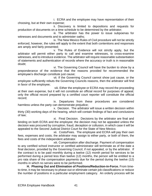i. ECRA and the employee may have representation of their choosing, but at their own expense;

ii. Discovery is limited to depositions and requests for production of documents on a time schedule to be determined by the arbitrator;

iii. The arbitrator has the power to issue subpoenas for witnesses and documents and to administer oaths;

iv. The New Mexico Rules of Civil procedure will not be strictly enforced, however, the rules will apply to the extent that both contentions and responses are amply and fairly presented;

v. The Rules of Evidence will not strictly apply, but the arbitrator will permit either party to call and examine witnesses, to cross-examine witnesses, and to introduce evidence. The arbitrator will require reasonable substantiation of statements and authentication of records where the accuracy or truth is in reasonable doubt;

vi. The Governing Council will have the burden to show by a preponderance of the evidence that the reasons provided for recommended the employee's discharge constitute just cause;

vii. If the Governing Council cannot show just cause, or the employee sufficiently rebuts the Governing Councils reasons, then the arbitrator will find in favor of the employee;

viii. Either the employee or ECRA may record the proceeding at their own expense, but it will not constitute an official record for purposes of appeal; only the official record prepared by a certified court reporter will constitute the official record;

ix. Departures from these procedures are considered harmless unless the party can demonstrate prejudice;

x. Decision. The arbitrator will issue a written decision within thirty (30) working days of the hearing, which will contain findings of fact and conclusions of law;

xi. Final Decision. Decisions by the arbitrator are final and binding on both ECRA and the employee; the decision may not be appealed unless the decision was procured by corruption, fraud, deception or collusion, in which case it will be appealed to the Second Judicial District Court for the State of New Mexico.

xii. Costs/Fees. The employee and ECRA will pay their own fees, expenses and costs; the arbitrator may assign to either party, or both of them, the fees and costs of the independent arbitrator.

xiii. Compensation after discharge. Payment of compensation to any certified school instructor or certified administrator will terminate as of the date a final decision, provided by the Governing Council, if not appealed, or by the arbitrator. If the contract is to be paid monthly during a twelve (12) month period for services to be performed during a period less than twelve (12) months, the person will be entitled to a pro rata share of the compensation payments due for the period during the twelve (12) months in which no serves were to be performed.

**H. Phasing Out and Elimination of Positions/Reduction-in-Force.** From timeto-time, it may be necessary to phase-out or eliminate certain job classifications or reduce the number of positions in a particular employment category. An orderly process will be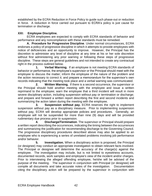established by the ECRA Reduction in Force Policy to guide such phase-out or reduction in force. A reduction in force carried out pursuant to ECRA's policy is just cause for termination or discharge.

# **XXI: Employee Discipline.**

ECRA employees are expected to comply with ECRA standards of behavior and performance and any noncompliance with these standards must be remedied.

**A. Procedure for Progressive Discipline**. Under normal circumstances, ECRA endorses a policy of progressive discipline in which it attempts to provide employees with notice of deficiencies and an opportunity to improve. However, the Principal has the discretion to administer any level of discipline at any time at his or her sole discretion without first administering any prior warning or following these steps of progressive discipline. These steps are general guidelines and not intended to create any contractual right in the process outlined below.

**1. Verbal Warning.** If an employee is not meeting ECRA standards of behavior or performance, the employee's supervisor or the Principal should meet with the employee to discuss the matter; inform the employee of the nature of the problem and the action necessary to correct it; and prepare a memorandum for the supervisor's own records indicating that the meeting took place and a verbal warning was communicated.

**2. Written Warning.** If there is a second occurrence, the supervisor or the Principal should hold another meeting with the employee and issue a written reprimand to the employee; warn the employee that a third incident will result in more severe disciplinary action, including suspension without pay or termination or discharge; and prepare and forward a written report describing the first and second incidents and summarizing the action taken during the meeting with the employee.

**3. Suspension without pay.** ECRA reserves the right to implement suspension without pay as a disciplinary measure. Prior to implementing suspension without pay, ECRA will develop appropriate policies and procedures. Generally, an employee will not be suspended for more than nine (9) days and will be provided rudimentary due process prior to suspension.

**4. Discharge/Termination**. The supervisor or Principal should prepare a written report describing the occurrences, indicating the timing between the occurrences and summarizing the justification for recommending discharge to the Governing Council. The progressive disciplinary procedures described above may also be applied to an employee who is experiencing a series of unrelated problems involving job performance and/or behavior.

**5. Investigation.** When a disciplinary action is proposed, the Principal (or designee) may conduct an appropriate investigation to obtain relevant facts involved. The Principal or designee will determine the accuracy of the charge(s) against the employee. The investigation may include, but is not limited to eyewitness accounts, documented records, work samples and employee's view of the incident and/or charges. Prior to interviewing the alleged offending employee, he/she will be advised of the purpose of the meeting. The supervisor in conjunction with Principal (or designee) will compile all documents and take accurate notes of the investigation. Documentation citing the disciplinary action will be prepared by the supervisor in conjunction with